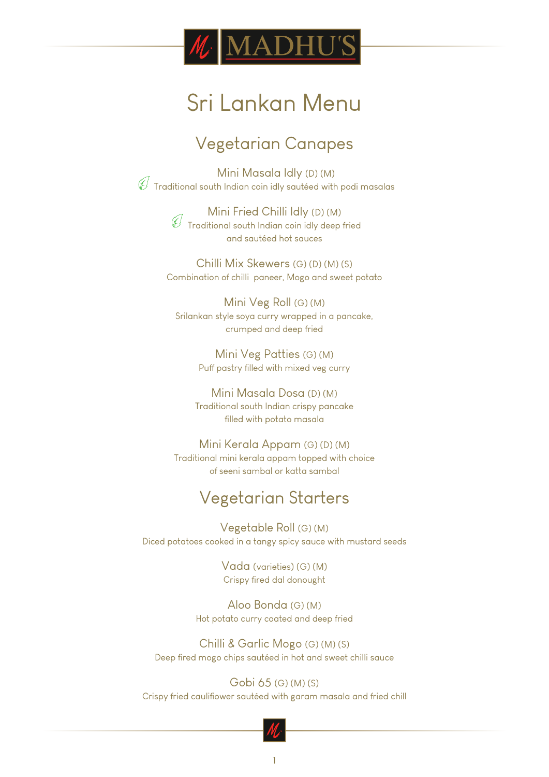

## Vegetarian Canapes

 Mini Masala Idly (D) (M)  $\overline{\mathscr{C}}$  Traditional south Indian coin idly sautéed with podi masalas

> Mini Fried Chilli Idly (D) (M) Traditional south Indian coin idly deep fried and sautéed hot sauces

Chilli Mix Skewers (G) (D) (M) (S) Combination of chilli paneer, Mogo and sweet potato

Mini Veg Roll (G) (M) Srilankan style soya curry wrapped in a pancake, crumped and deep fried

> Mini Veg Patties (G) (M) Puff pastry filled with mixed veg curry

Mini Masala Dosa (D) (M) Traditional south Indian crispy pancake filled with potato masala

Mini Kerala Appam (G) (D) (M) Traditional mini kerala appam topped with choice of seeni sambal or katta sambal

## Vegetarian Starters

Vegetable Roll (G) (M) Diced potatoes cooked in a tangy spicy sauce with mustard seeds

> Vada (varieties) (G) (M) Crispy fired dal donought

Aloo Bonda (G) (M) Hot potato curry coated and deep fried

Chilli & Garlic Mogo (G) (M) (S) Deep fired mogo chips sautéed in hot and sweet chilli sauce

Gobi 65 (G) (M) (S) Crispy fried cauliflower sautéed with garam masala and fried chill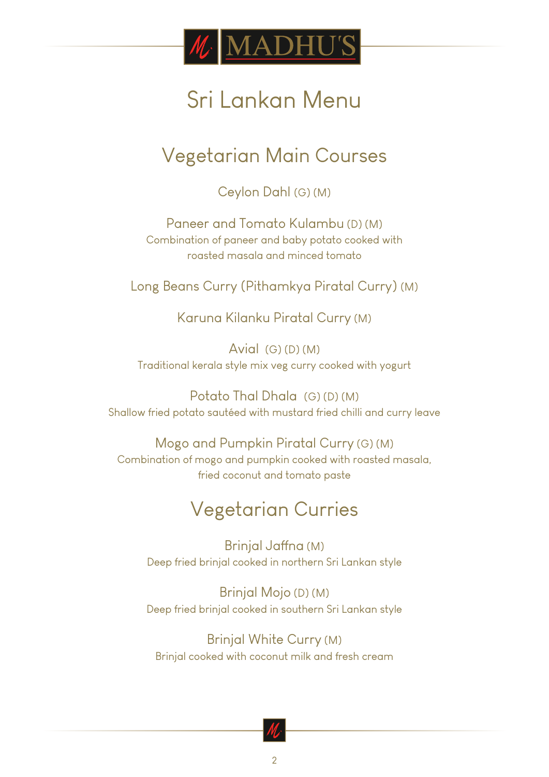

## Vegetarian Main Courses

Ceylon Dahl (G) (M)

Paneer and Tomato Kulambu (D) (M) Combination of paneer and baby potato cooked with roasted masala and minced tomato

Long Beans Curry (Pithamkya Piratal Curry) (M)

Karuna Kilanku Piratal Curry (M)

Avial  $(G)(D)(M)$ Traditional kerala style mix veg curry cooked with yogurt

Potato Thal Dhala (G) (D) (M) Shallow fried potato sautéed with mustard fried chilli and curry leave

Mogo and Pumpkin Piratal Curry (G) (M) Combination of mogo and pumpkin cooked with roasted masala, fried coconut and tomato paste

## Vegetarian Curries

Brinjal Jaffna (M) Deep fried brinjal cooked in northern Sri Lankan style

Brinjal Mojo (D) (M) Deep fried brinjal cooked in southern Sri Lankan style

Brinjal White Curry (M) Brinjal cooked with coconut milk and fresh cream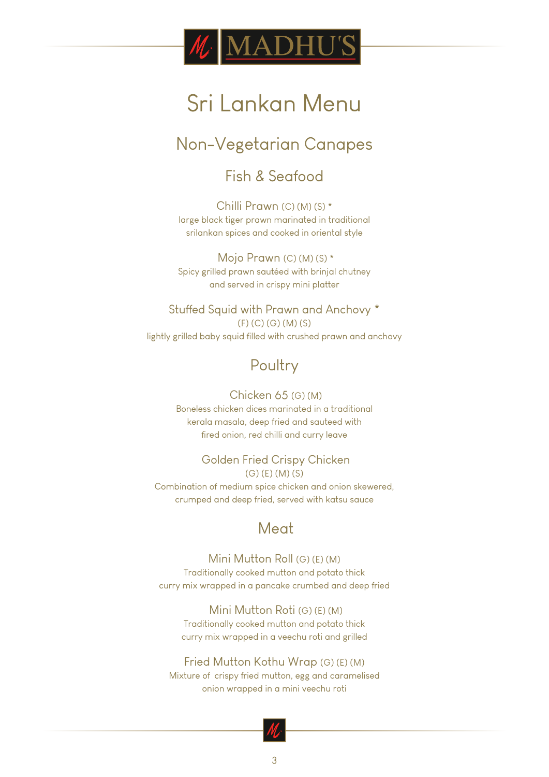

## Non-Vegetarian Canapes

### Fish & Seafood

Chilli Prawn (C) (M) (S) \* large black tiger prawn marinated in traditional srilankan spices and cooked in oriental style

 Mojo Prawn (C) (M) (S) \* Spicy grilled prawn sautéed with brinjal chutney and served in crispy mini platter

Stuffed Squid with Prawn and Anchovy \* (F) (C) (G) (M) (S) lightly grilled baby squid filled with crushed prawn and anchovy

## **Poultry**

#### Chicken 65 (G) (M) Boneless chicken dices marinated in a traditional kerala masala, deep fried and sauteed with fired onion, red chilli and curry leave

#### Golden Fried Crispy Chicken (G) (E) (M) (S)

Combination of medium spice chicken and onion skewered, crumped and deep fried, served with katsu sauce

### Meat

#### Mini Mutton Roll (G) (E) (M)

Traditionally cooked mutton and potato thick curry mix wrapped in a pancake crumbed and deep fried

 Mini Mutton Roti (G) (E) (M) Traditionally cooked mutton and potato thick curry mix wrapped in a veechu roti and grilled

#### Fried Mutton Kothu Wrap (G) (E) (M)

Mixture of crispy fried mutton, egg and caramelised onion wrapped in a mini veechu roti

3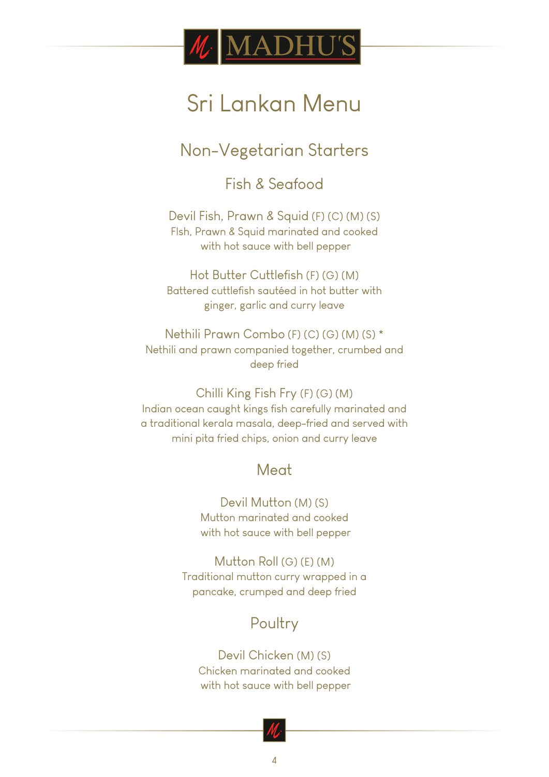

Non-Vegetarian Starters

Fish & Seafood

Devil Fish, Prawn & Squid (F) (C) (M) (S) FIsh, Prawn & Squid marinated and cooked with hot sauce with bell pepper

Hot Butter Cuttlefish (F) (G) (M) Battered cuttlefish sautéed in hot butter with ginger, garlic and curry leave

Nethili Prawn Combo (F) (C) (G) (M) (S) \* Nethili and prawn companied together, crumbed and deep fried

Chilli King Fish Fry (F) (G) (M) Indian ocean caught kings fish carefully marinated and a traditional kerala masala, deep-fried and served with mini pita fried chips, onion and curry leave

### Meat

Devil Mutton (M) (S) Mutton marinated and cooked with hot sauce with bell pepper

Mutton Roll (G) (E) (M) Traditional mutton curry wrapped in a pancake, crumped and deep fried

## Poultry

Devil Chicken (M) (S) Chicken marinated and cooked with hot sauce with bell pepper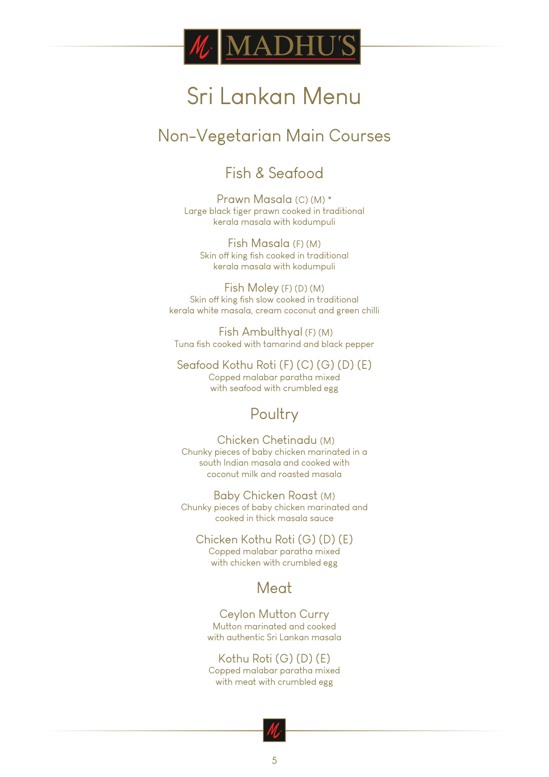

## Non-Vegetarian Main Courses

### Fish & Seafood

Prawn Masala (C) (M) \* Large black tiger prawn cooked in traditional kerala masala with kodumpuli

Fish Masala (F) (M) Skin off king fish cooked in traditional kerala masala with kodumpuli

Fish Moley (F) (D) (M) Skin off king fish slow cooked in traditional kerala white masala, cream coconut and green chilli

 Fish Ambulthyal (F) (M) Tuna fish cooked with tamarind and black pepper

Seafood Kothu Roti (F) (C) (G) (D) (E) Copped malabar paratha mixed with seafood with crumbled egg

### **Poultry**

 Chicken Chetinadu (M) Chunky pieces of baby chicken marinated in a south Indian masala and cooked with coconut milk and roasted masala

Baby Chicken Roast (M) Chunky pieces of baby chicken marinated and cooked in thick masala sauce

Chicken Kothu Roti (G) (D) (E) Copped malabar paratha mixed with chicken with crumbled egg

### **Meat**

Ceylon Mutton Curry Mutton marinated and cooked with authentic Sri Lankan masala

Kothu Roti (G) (D) (E) Copped malabar paratha mixed with meat with crumbled egg